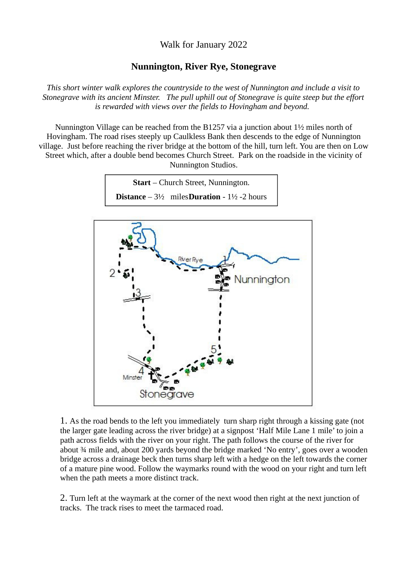Walk for January 2022

## **Nunnington, River Rye, Stonegrave**

*This short winter walk explores the countryside to the west of Nunnington and include a visit to Stonegrave with its ancient Minster. The pull uphill out of Stonegrave is quite steep but the effort is rewarded with views over the fields to Hovingham and beyond.* 

Nunnington Village can be reached from the B1257 via a junction about 1½ miles north of Hovingham. The road rises steeply up Caulkless Bank then descends to the edge of Nunnington village. Just before reaching the river bridge at the bottom of the hill, turn left. You are then on Low Street which, after a double bend becomes Church Street. Park on the roadside in the vicinity of Nunnington Studios.





1. As the road bends to the left you immediately turn sharp right through a kissing gate (not the larger gate leading across the river bridge) at a signpost 'Half Mile Lane 1 mile' to join a path across fields with the river on your right. The path follows the course of the river for about ¾ mile and, about 200 yards beyond the bridge marked 'No entry', goes over a wooden bridge across a drainage beck then turns sharp left with a hedge on the left towards the corner of a mature pine wood. Follow the waymarks round with the wood on your right and turn left when the path meets a more distinct track.

2. Turn left at the waymark at the corner of the next wood then right at the next junction of tracks. The track rises to meet the tarmaced road.